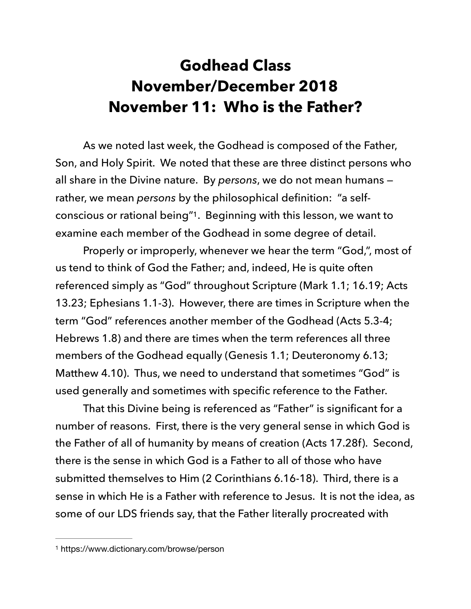## **Godhead Class November/December 2018 November 11: Who is the Father?**

 As we noted last week, the Godhead is composed of the Father, Son, and Holy Spirit. We noted that these are three distinct persons who all share in the Divine nature. By *persons*, we do not mean humans rather, we mean *persons* by the philosophical definition: "a self-conscious or rational being"<sup>1</sup>[.](#page-0-0) Beginning with this lesson, we want to examine each member of the Godhead in some degree of detail.

<span id="page-0-1"></span> Properly or improperly, whenever we hear the term "God,", most of us tend to think of God the Father; and, indeed, He is quite often referenced simply as "God" throughout Scripture (Mark 1.1; 16.19; Acts 13.23; Ephesians 1.1-3). However, there are times in Scripture when the term "God" references another member of the Godhead (Acts 5.3-4; Hebrews 1.8) and there are times when the term references all three members of the Godhead equally (Genesis 1.1; Deuteronomy 6.13; Matthew 4.10). Thus, we need to understand that sometimes "God" is used generally and sometimes with specific reference to the Father.

 That this Divine being is referenced as "Father" is significant for a number of reasons. First, there is the very general sense in which God is the Father of all of humanity by means of creation (Acts 17.28f). Second, there is the sense in which God is a Father to all of those who have submitted themselves to Him (2 Corinthians 6.16-18). Third, there is a sense in which He is a Father with reference to Jesus. It is not the idea, as some of our LDS friends say, that the Father literally procreated with

<span id="page-0-0"></span>[<sup>1</sup>](#page-0-1) https://www.dictionary.com/browse/person